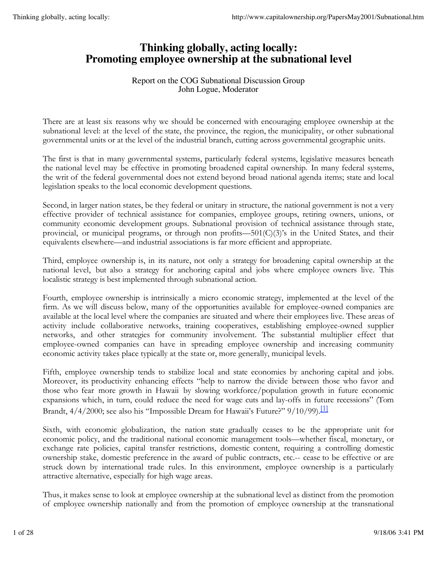# **Thinking globally, acting locally: Promoting employee ownership at the subnational level**

# Report on the COG Subnational Discussion Group John Logue, Moderator

There are at least six reasons why we should be concerned with encouraging employee ownership at the subnational level: at the level of the state, the province, the region, the municipality, or other subnational governmental units or at the level of the industrial branch, cutting across governmental geographic units.

The first is that in many governmental systems, particularly federal systems, legislative measures beneath the national level may be effective in promoting broadened capital ownership. In many federal systems, the writ of the federal governmental does not extend beyond broad national agenda items; state and local legislation speaks to the local economic development questions.

Second, in larger nation states, be they federal or unitary in structure, the national government is not a very effective provider of technical assistance for companies, employee groups, retiring owners, unions, or community economic development groups. Subnational provision of technical assistance through state, provincial, or municipal programs, or through non profits— $501(C)(3)$ 's in the United States, and their equivalents elsewhere—and industrial associations is far more efficient and appropriate.

Third, employee ownership is, in its nature, not only a strategy for broadening capital ownership at the national level, but also a strategy for anchoring capital and jobs where employee owners live. This localistic strategy is best implemented through subnational action.

Fourth, employee ownership is intrinsically a micro economic strategy, implemented at the level of the firm. As we will discuss below, many of the opportunities available for employee-owned companies are available at the local level where the companies are situated and where their employees live. These areas of activity include collaborative networks, training cooperatives, establishing employee-owned supplier networks, and other strategies for community involvement. The substantial multiplier effect that employee-owned companies can have in spreading employee ownership and increasing community economic activity takes place typically at the state or, more generally, municipal levels.

Fifth, employee ownership tends to stabilize local and state economies by anchoring capital and jobs. Moreover, its productivity enhancing effects "help to narrow the divide between those who favor and those who fear more growth in Hawaii by slowing workforce/population growth in future economic expansions which, in turn, could reduce the need for wage cuts and lay-offs in future recessions" (Tom Brandt, 4/4/2000; see also his "Impossible Dream for Hawaii's Future?" 9/10/99).<sup>[1]</sup>

Sixth, with economic globalization, the nation state gradually ceases to be the appropriate unit for economic policy, and the traditional national economic management tools—whether fiscal, monetary, or exchange rate policies, capital transfer restrictions, domestic content, requiring a controlling domestic ownership stake, domestic preference in the award of public contracts, etc.-- cease to be effective or are struck down by international trade rules. In this environment, employee ownership is a particularly attractive alternative, especially for high wage areas.

Thus, it makes sense to look at employee ownership at the subnational level as distinct from the promotion of employee ownership nationally and from the promotion of employee ownership at the transnational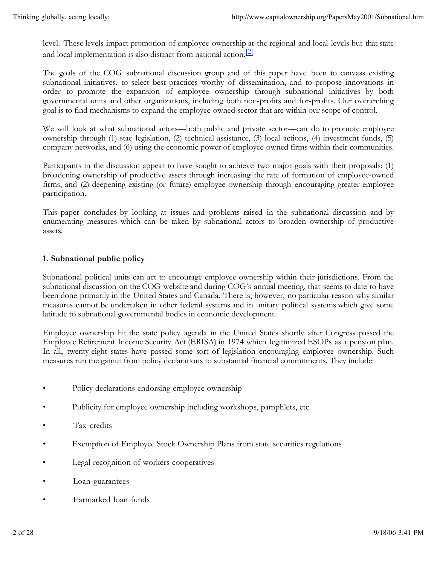level. These levels impact promotion of employee ownership at the regional and local levels but that state and local implementation is also distinct from national action.<sup>[2]</sup>

The goals of the COG subnational discussion group and of this paper have been to canvass existing subnational initiatives, to select best practices worthy of dissemination, and to propose innovations in order to promote the expansion of employee ownership through subnational initiatives by both governmental units and other organizations, including both non-profits and for-profits. Our overarching goal is to find mechanisms to expand the employee-owned sector that are within our scope of control.

We will look at what subnational actors—both public and private sector—can do to promote employee ownership through (1) stae legislation, (2) technical assistance, (3) local actions, (4) investment funds, (5) company networks, and (6) using the economic power of employee-owned firms within their communities.

Participants in the discussion appear to have sought to achieve two major goals with their proposals: (1) broadening ownership of productive assets through increasing the rate of formation of employee-owned firms, and (2) deepening existing (or future) employee ownership through encouraging greater employee participation.

This paper concludes by looking at issues and problems raised in the subnational discussion and by enumerating measures which can be taken by subnational actors to broaden ownership of productive assets.

# **1. Subnational public policy**

Subnational political units can act to encourage employee ownership within their jurisdictions. From the subnational discussion on the COG website and during COG's annual meeting, that seems to date to have been done primarily in the United States and Canada. There is, however, no particular reason why similar measures cannot be undertaken in other federal systems and in unitary political systems which give some latitude to subnational governmental bodies in economic development.

Employee ownership hit the state policy agenda in the United States shortly after Congress passed the Employee Retirement Income Security Act (ERISA) in 1974 which legitimized ESOPs as a pension plan. In all, twenty-eight states have passed some sort of legislation encouraging employee ownership. Such measures run the gamut from policy declarations to substantial financial commitments. They include:

- Policy declarations endorsing employee ownership
- Publicity for employee ownership including workshops, pamphlets, etc.
- Tax credits
- Exemption of Employee Stock Ownership Plans from state securities regulations
- Legal recognition of workers cooperatives
- Loan guarantees
- Earmarked loan funds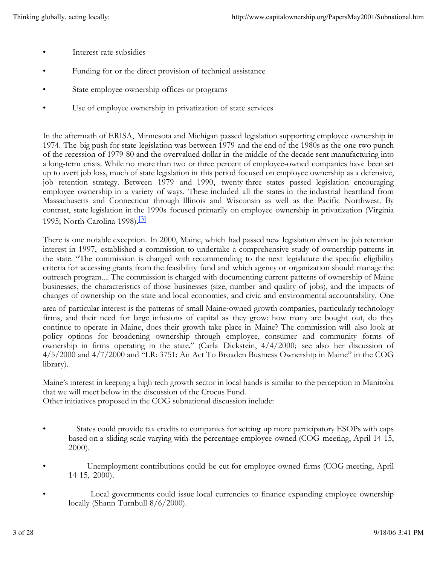- Interest rate subsidies
- Funding for or the direct provision of technical assistance
- State employee ownership offices or programs
- Use of employee ownership in privatization of state services

In the aftermath of ERISA, Minnesota and Michigan passed legislation supporting employee ownership in 1974. The big push for state legislation was between 1979 and the end of the 1980s as the one-two punch of the recession of 1979-80 and the overvalued dollar in the middle of the decade sent manufacturing into a long-term crisis. While no more than two or three percent of employee-owned companies have been set up to avert job loss, much of state legislation in this period focused on employee ownership as a defensive, job retention strategy. Between 1979 and 1990, twenty-three states passed legislation encouraging employee ownership in a variety of ways. These included all the states in the industrial heartland from Massachusetts and Connecticut through Illinois and Wisconsin as well as the Pacific Northwest. By contrast, state legislation in the 1990s focused primarily on employee ownership in privatization (Virginia 1995; North Carolina 1998).[3]

There is one notable exception. In 2000, Maine, which had passed new legislation driven by job retention interest in 1997, established a commission to undertake a comprehensive study of ownership patterns in the state. "The commission is charged with recommending to the next legislature the specific eligibility criteria for accessing grants from the feasibility fund and which agency or organization should manage the outreach program.... The commission is charged with documenting current patterns of ownership of Maine businesses, the characteristics of those businesses (size, number and quality of jobs), and the impacts of changes of ownership on the state and local economies, and civic and environmental accountability. One

area of particular interest is the patterns of small Maine‑owned growth companies, particularly technology firms, and their need for large infusions of capital as they grow: how many are bought out, do they continue to operate in Maine, does their growth take place in Maine? The commission will also look at policy options for broadening ownership through employee, consumer and community forms of ownership in firms operating in the state." (Carla Dickstein, 4/4/2000; see also her discussion of 4/5/2000 and 4/7/2000 and "LR: 3751: An Act To Broaden Business Ownership in Maine" in the COG library).

Maine's interest in keeping a high tech growth sector in local hands is similar to the perception in Manitoba that we will meet below in the discussion of the Crocus Fund.

Other initiatives proposed in the COG subnational discussion include:

- States could provide tax credits to companies for setting up more participatory ESOPs with caps based on a sliding scale varying with the percentage employee-owned (COG meeting, April 14-15, 2000).
- Unemployment contributions could be cut for employee-owned firms (COG meeting, April 14-15, 2000).
- Local governments could issue local currencies to finance expanding employee ownership locally (Shann Turnbull 8/6/2000).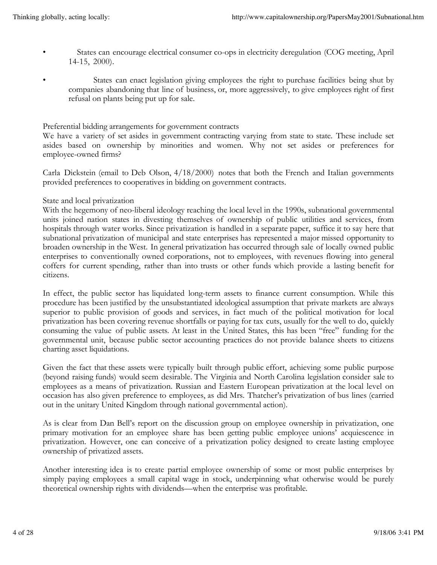- States can encourage electrical consumer co-ops in electricity deregulation (COG meeting, April 14-15, 2000).
- States can enact legislation giving employees the right to purchase facilities being shut by companies abandoning that line of business, or, more aggressively, to give employees right of first refusal on plants being put up for sale.

#### Preferential bidding arrangements for government contracts

We have a variety of set asides in government contracting varying from state to state. These include set asides based on ownership by minorities and women. Why not set asides or preferences for employee-owned firms?

Carla Dickstein (email to Deb Olson, 4/18/2000) notes that both the French and Italian governments provided preferences to cooperatives in bidding on government contracts.

#### State and local privatization

With the hegemony of neo-liberal ideology reaching the local level in the 1990s, subnational governmental units joined nation states in divesting themselves of ownership of public utilities and services, from hospitals through water works. Since privatization is handled in a separate paper, suffice it to say here that subnational privatization of municipal and state enterprises has represented a major missed opportunity to broaden ownership in the West. In general privatization has occurred through sale of locally owned public enterprises to conventionally owned corporations, not to employees, with revenues flowing into general coffers for current spending, rather than into trusts or other funds which provide a lasting benefit for citizens.

In effect, the public sector has liquidated long-term assets to finance current consumption. While this procedure has been justified by the unsubstantiated ideological assumption that private markets are always superior to public provision of goods and services, in fact much of the political motivation for local privatization has been covering revenue shortfalls or paying for tax cuts, usually for the well to do, quickly consuming the value of public assets. At least in the United States, this has been "free" funding for the governmental unit, because public sector accounting practices do not provide balance sheets to citizens charting asset liquidations.

Given the fact that these assets were typically built through public effort, achieving some public purpose (beyond raising funds) would seem desirable. The Virginia and North Carolina legislation consider sale to employees as a means of privatization. Russian and Eastern European privatization at the local level on occasion has also given preference to employees, as did Mrs. Thatcher's privatization of bus lines (carried out in the unitary United Kingdom through national governmental action).

As is clear from Dan Bell's report on the discussion group on employee ownership in privatization, one primary motivation for an employee share has been getting public employee unions' acquiescence in privatization. However, one can conceive of a privatization policy designed to create lasting employee ownership of privatized assets.

Another interesting idea is to create partial employee ownership of some or most public enterprises by simply paying employees a small capital wage in stock, underpinning what otherwise would be purely theoretical ownership rights with dividends—when the enterprise was profitable.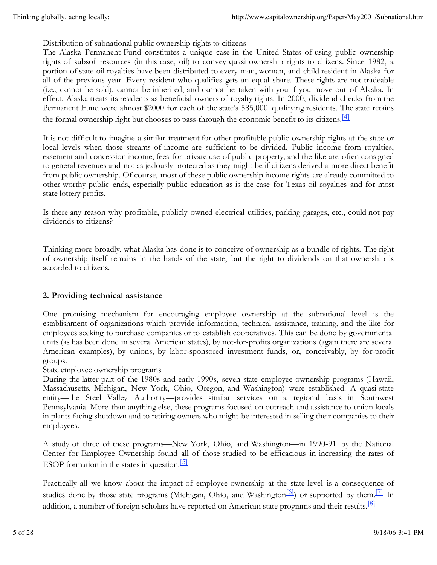Distribution of subnational public ownership rights to citizens

The Alaska Permanent Fund constitutes a unique case in the United States of using public ownership rights of subsoil resources (in this case, oil) to convey quasi ownership rights to citizens. Since 1982, a portion of state oil royalties have been distributed to every man, woman, and child resident in Alaska for all of the previous year. Every resident who qualifies gets an equal share. These rights are not tradeable (i.e., cannot be sold), cannot be inherited, and cannot be taken with you if you move out of Alaska. In effect, Alaska treats its residents as beneficial owners of royalty rights. In 2000, dividend checks from the Permanent Fund were almost \$2000 for each of the state's 585,000 qualifying residents. The state retains the formal ownership right but chooses to pass-through the economic benefit to its citizens.<sup>[4]</sup>

It is not difficult to imagine a similar treatment for other profitable public ownership rights at the state or local levels when those streams of income are sufficient to be divided. Public income from royalties, easement and concession income, fees for private use of public property, and the like are often consigned to general revenues and not as jealously protected as they might be if citizens derived a more direct benefit from public ownership. Of course, most of these public ownership income rights are already committed to other worthy public ends, especially public education as is the case for Texas oil royalties and for most state lottery profits.

Is there any reason why profitable, publicly owned electrical utilities, parking garages, etc., could not pay dividends to citizens?

Thinking more broadly, what Alaska has done is to conceive of ownership as a bundle of rights. The right of ownership itself remains in the hands of the state, but the right to dividends on that ownership is accorded to citizens.

# **2. Providing technical assistance**

One promising mechanism for encouraging employee ownership at the subnational level is the establishment of organizations which provide information, technical assistance, training, and the like for employees seeking to purchase companies or to establish cooperatives. This can be done by governmental units (as has been done in several American states), by not-for-profits organizations (again there are several American examples), by unions, by labor-sponsored investment funds, or, conceivably, by for-profit groups.

State employee ownership programs

During the latter part of the 1980s and early 1990s, seven state employee ownership programs (Hawaii, Massachusetts, Michigan, New York, Ohio, Oregon, and Washington) were established. A quasi-state entity—the Steel Valley Authority—provides similar services on a regional basis in Southwest Pennsylvania. More than anything else, these programs focused on outreach and assistance to union locals in plants facing shutdown and to retiring owners who might be interested in selling their companies to their employees.

A study of three of these programs—New York, Ohio, and Washington—in 1990-91 by the National Center for Employee Ownership found all of those studied to be efficacious in increasing the rates of ESOP formation in the states in question. $5$ 

Practically all we know about the impact of employee ownership at the state level is a consequence of studies done by those state programs (Michigan, Ohio, and Washington<sup>[6]</sup>) or supported by them.<sup>[7]</sup> In addition, a number of foreign scholars have reported on American state programs and their results.<sup>[8]</sup>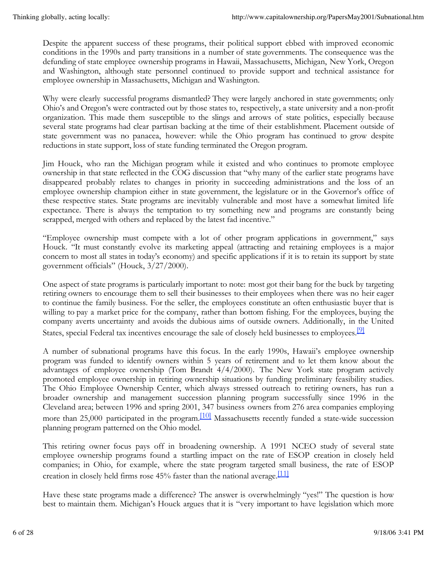Despite the apparent success of these programs, their political support ebbed with improved economic conditions in the 1990s and party transitions in a number of state governments. The consequence was the defunding of state employee ownership programs in Hawaii, Massachusetts, Michigan, New York, Oregon and Washington, although state personnel continued to provide support and technical assistance for employee ownership in Massachusetts, Michigan and Washington.

Why were clearly successful programs dismantled? They were largely anchored in state governments; only Ohio's and Oregon's were contracted out by those states to, respectively, a state university and a non-profit organization. This made them susceptible to the slings and arrows of state politics, especially because several state programs had clear partisan backing at the time of their establishment. Placement outside of state government was no panacea, however: while the Ohio program has continued to grow despite reductions in state support, loss of state funding terminated the Oregon program.

Jim Houck, who ran the Michigan program while it existed and who continues to promote employee ownership in that state reflected in the COG discussion that "why many of the earlier state programs have disappeared probably relates to changes in priority in succeeding administrations and the loss of an employee ownership champion either in state government, the legislature or in the Governor's office of these respective states. State programs are inevitably vulnerable and most have a somewhat limited life expectance. There is always the temptation to try something new and programs are constantly being scrapped, merged with others and replaced by the latest fad incentive."

"Employee ownership must compete with a lot of other program applications in government," says Houck. "It must constantly evolve its marketing appeal (attracting and retaining employees is a major concern to most all states in today's economy) and specific applications if it is to retain its support by state government officials" (Houck, 3/27/2000).

One aspect of state programs is particularly important to note: most got their bang for the buck by targeting retiring owners to encourage them to sell their businesses to their employees when there was no heir eager to continue the family business. For the seller, the employees constitute an often enthusiastic buyer that is willing to pay a market price for the company, rather than bottom fishing. For the employees, buying the company averts uncertainty and avoids the dubious aims of outside owners. Additionally, in the United States, special Federal tax incentives encourage the sale of closely held businesses to employees.<sup>[9]</sup>

A number of subnational programs have this focus. In the early 1990s, Hawaii's employee ownership program was funded to identify owners within 5 years of retirement and to let them know about the advantages of employee ownership (Tom Brandt 4/4/2000). The New York state program actively promoted employee ownership in retiring ownership situations by funding preliminary feasibility studies. The Ohio Employee Ownership Center, which always stressed outreach to retiring owners, has run a broader ownership and management succession planning program successfully since 1996 in the Cleveland area; between 1996 and spring 2001, 347 business owners from 276 area companies employing more than 25,000 participated in the program.<sup>[10]</sup> Massachusetts recently funded a state-wide succession planning program patterned on the Ohio model.

This retiring owner focus pays off in broadening ownership. A 1991 NCEO study of several state employee ownership programs found a startling impact on the rate of ESOP creation in closely held companies; in Ohio, for example, where the state program targeted small business, the rate of ESOP creation in closely held firms rose 45% faster than the national average.<sup>[11]</sup>

Have these state programs made a difference? The answer is overwhelmingly "yes!" The question is how best to maintain them. Michigan's Houck argues that it is "very important to have legislation which more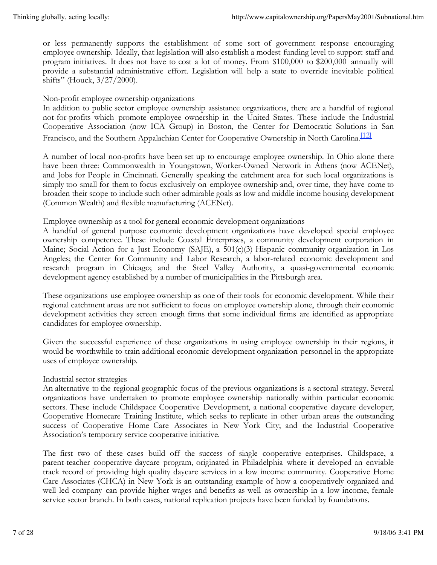or less permanently supports the establishment of some sort of government response encouraging employee ownership. Ideally, that legislation will also establish a modest funding level to support staff and program initiatives. It does not have to cost a lot of money. From \$100,000 to \$200,000 annually will provide a substantial administrative effort. Legislation will help a state to override inevitable political shifts" (Houck, 3/27/2000).

# Non-profit employee ownership organizations

In addition to public sector employee ownership assistance organizations, there are a handful of regional not-for-profits which promote employee ownership in the United States. These include the Industrial Cooperative Association (now ICA Group) in Boston, the Center for Democratic Solutions in San Francisco, and the Southern Appalachian Center for Cooperative Ownership in North Carolina.<sup>[12]</sup>

A number of local non-profits have been set up to encourage employee ownership. In Ohio alone there have been three: Commonwealth in Youngstown, Worker-Owned Network in Athens (now ACENet), and Jobs for People in Cincinnati. Generally speaking the catchment area for such local organizations is simply too small for them to focus exclusively on employee ownership and, over time, they have come to broaden their scope to include such other admirable goals as low and middle income housing development (Common Wealth) and flexible manufacturing (ACENet).

Employee ownership as a tool for general economic development organizations

A handful of general purpose economic development organizations have developed special employee ownership competence. These include Coastal Enterprises, a community development corporation in Maine; Social Action for a Just Economy (SAJE), a 501(c)(3) Hispanic community organization in Los Angeles; the Center for Community and Labor Research, a labor-related economic development and research program in Chicago; and the Steel Valley Authority, a quasi-governmental economic development agency established by a number of municipalities in the Pittsburgh area.

These organizations use employee ownership as one of their tools for economic development. While their regional catchment areas are not sufficient to focus on employee ownership alone, through their economic development activities they screen enough firms that some individual firms are identified as appropriate candidates for employee ownership.

Given the successful experience of these organizations in using employee ownership in their regions, it would be worthwhile to train additional economic development organization personnel in the appropriate uses of employee ownership.

# Industrial sector strategies

An alternative to the regional geographic focus of the previous organizations is a sectoral strategy. Several organizations have undertaken to promote employee ownership nationally within particular economic sectors. These include Childspace Cooperative Development, a national cooperative daycare developer; Cooperative Homecare Training Institute, which seeks to replicate in other urban areas the outstanding success of Cooperative Home Care Associates in New York City; and the Industrial Cooperative Association's temporary service cooperative initiative.

The first two of these cases build off the success of single cooperative enterprises. Childspace, a parent-teacher cooperative daycare program, originated in Philadelphia where it developed an enviable track record of providing high quality daycare services in a low income community. Cooperative Home Care Associates (CHCA) in New York is an outstanding example of how a cooperatively organized and well led company can provide higher wages and benefits as well as ownership in a low income, female service sector branch. In both cases, national replication projects have been funded by foundations.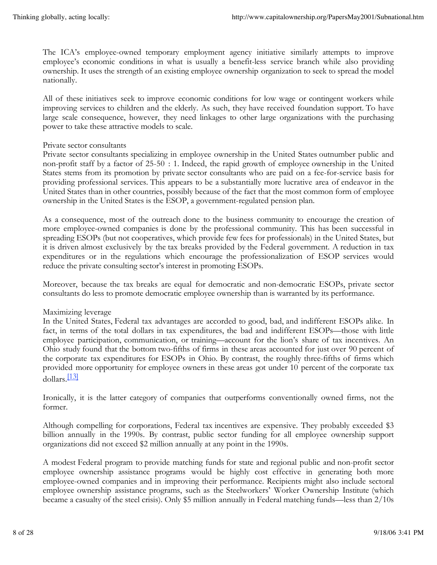The ICA's employee-owned temporary employment agency initiative similarly attempts to improve employee's economic conditions in what is usually a benefit-less service branch while also providing ownership. It uses the strength of an existing employee ownership organization to seek to spread the model nationally.

All of these initiatives seek to improve economic conditions for low wage or contingent workers while improving services to children and the elderly. As such, they have received foundation support. To have large scale consequence, however, they need linkages to other large organizations with the purchasing power to take these attractive models to scale.

#### Private sector consultants

Private sector consultants specializing in employee ownership in the United States outnumber public and non-profit staff by a factor of 25-50 : 1. Indeed, the rapid growth of employee ownership in the United States stems from its promotion by private sector consultants who are paid on a fee-for-service basis for providing professional services. This appears to be a substantially more lucrative area of endeavor in the United States than in other countries, possibly because of the fact that the most common form of employee ownership in the United States is the ESOP, a government-regulated pension plan.

As a consequence, most of the outreach done to the business community to encourage the creation of more employee-owned companies is done by the professional community. This has been successful in spreading ESOPs (but not cooperatives, which provide few fees for professionals) in the United States, but it is driven almost exclusively by the tax breaks provided by the Federal government. A reduction in tax expenditures or in the regulations which encourage the professionalization of ESOP services would reduce the private consulting sector's interest in promoting ESOPs.

Moreover, because the tax breaks are equal for democratic and non-democratic ESOPs, private sector consultants do less to promote democratic employee ownership than is warranted by its performance.

# Maximizing leverage

In the United States, Federal tax advantages are accorded to good, bad, and indifferent ESOPs alike. In fact, in terms of the total dollars in tax expenditures, the bad and indifferent ESOPs—those with little employee participation, communication, or training—account for the lion's share of tax incentives. An Ohio study found that the bottom two-fifths of firms in these areas accounted for just over 90 percent of the corporate tax expenditures for ESOPs in Ohio. By contrast, the roughly three-fifths of firms which provided more opportunity for employee owners in these areas got under 10 percent of the corporate tax dollars.[13]

Ironically, it is the latter category of companies that outperforms conventionally owned firms, not the former.

Although compelling for corporations, Federal tax incentives are expensive. They probably exceeded \$3 billion annually in the 1990s. By contrast, public sector funding for all employee ownership support organizations did not exceed \$2 million annually at any point in the 1990s.

A modest Federal program to provide matching funds for state and regional public and non-profit sector employee ownership assistance programs would be highly cost effective in generating both more employee-owned companies and in improving their performance. Recipients might also include sectoral employee ownership assistance programs, such as the Steelworkers' Worker Ownership Institute (which became a casualty of the steel crisis). Only \$5 million annually in Federal matching funds—less than 2/10s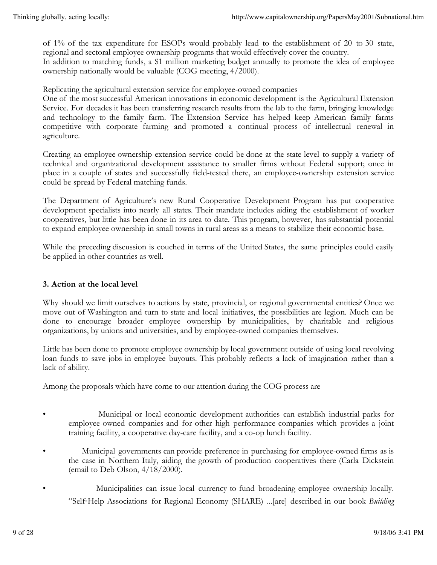of 1% of the tax expenditure for ESOPs would probably lead to the establishment of 20 to 30 state, regional and sectoral employee ownership programs that would effectively cover the country. In addition to matching funds, a \$1 million marketing budget annually to promote the idea of employee ownership nationally would be valuable (COG meeting, 4/2000).

Replicating the agricultural extension service for employee-owned companies

One of the most successful American innovations in economic development is the Agricultural Extension Service. For decades it has been transferring research results from the lab to the farm, bringing knowledge and technology to the family farm. The Extension Service has helped keep American family farms competitive with corporate farming and promoted a continual process of intellectual renewal in agriculture.

Creating an employee ownership extension service could be done at the state level to supply a variety of technical and organizational development assistance to smaller firms without Federal support; once in place in a couple of states and successfully field-tested there, an employee-ownership extension service could be spread by Federal matching funds.

The Department of Agriculture's new Rural Cooperative Development Program has put cooperative development specialists into nearly all states. Their mandate includes aiding the establishment of worker cooperatives, but little has been done in its area to date. This program, however, has substantial potential to expand employee ownership in small towns in rural areas as a means to stabilize their economic base.

While the preceding discussion is couched in terms of the United States, the same principles could easily be applied in other countries as well.

# **3. Action at the local level**

Why should we limit ourselves to actions by state, provincial, or regional governmental entities? Once we move out of Washington and turn to state and local initiatives, the possibilities are legion. Much can be done to encourage broader employee ownership by municipalities, by charitable and religious organizations, by unions and universities, and by employee-owned companies themselves.

Little has been done to promote employee ownership by local government outside of using local revolving loan funds to save jobs in employee buyouts. This probably reflects a lack of imagination rather than a lack of ability.

Among the proposals which have come to our attention during the COG process are

- **Municipal or local economic development authorities can establish industrial parks for** employee-owned companies and for other high performance companies which provides a joint training facility, a cooperative day-care facility, and a co-op lunch facility.
- Municipal governments can provide preference in purchasing for employee-owned firms as is the case in Northern Italy, aiding the growth of production cooperatives there (Carla Dickstein (email to Deb Olson, 4/18/2000).
- Municipalities can issue local currency to fund broadening employee ownership locally. "Self‑Help Associations for Regional Economy (SHARE) ...[are] described in our book *Building*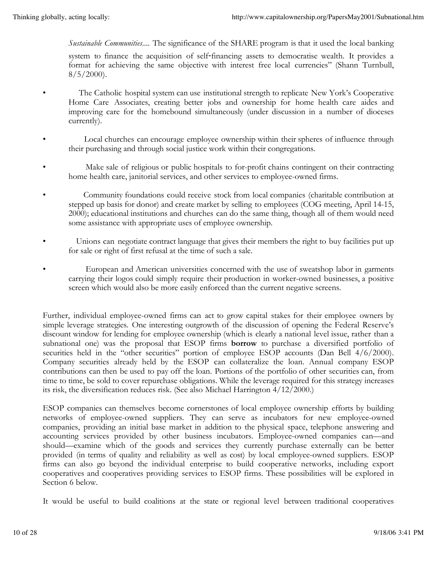*Sustainable Communities*.... The significance of the SHARE program is that it used the local banking

system to finance the acquisition of self-financing assets to democratise wealth. It provides a format for achieving the same objective with interest free local currencies" (Shann Turnbull,  $8/5/2000$ .

- The Catholic hospital system can use institutional strength to replicate New York's Cooperative Home Care Associates, creating better jobs and ownership for home health care aides and improving care for the homebound simultaneously (under discussion in a number of dioceses currently).
- Local churches can encourage employee ownership within their spheres of influence through their purchasing and through social justice work within their congregations.
- Make sale of religious or public hospitals to for-profit chains contingent on their contracting home health care, janitorial services, and other services to employee-owned firms.
- Community foundations could receive stock from local companies (charitable contribution at stepped up basis for donor) and create market by selling to employees (COG meeting, April 14-15, 2000); educational institutions and churches can do the same thing, though all of them would need some assistance with appropriate uses of employee ownership.
- Unions can negotiate contract language that gives their members the right to buy facilities put up for sale or right of first refusal at the time of such a sale.
- European and American universities concerned with the use of sweatshop labor in garments carrying their logos could simply require their production in worker-owned businesses, a positive screen which would also be more easily enforced than the current negative screens.

Further, individual employee-owned firms can act to grow capital stakes for their employee owners by simple leverage strategies. One interesting outgrowth of the discussion of opening the Federal Reserve's discount window for lending for employee ownership (which is clearly a national level issue, rather than a subnational one) was the proposal that ESOP firms **borrow** to purchase a diversified portfolio of securities held in the "other securities" portion of employee ESOP accounts (Dan Bell 4/6/2000). Company securities already held by the ESOP can collateralize the loan. Annual company ESOP contributions can then be used to pay off the loan. Portions of the portfolio of other securities can, from time to time, be sold to cover repurchase obligations. While the leverage required for this strategy increases its risk, the diversification reduces risk. (See also Michael Harrington 4/12/2000.)

ESOP companies can themselves become cornerstones of local employee ownership efforts by building networks of employee-owned suppliers. They can serve as incubators for new employee-owned companies, providing an initial base market in addition to the physical space, telephone answering and accounting services provided by other business incubators. Employee-owned companies can—and should—examine which of the goods and services they currently purchase externally can be better provided (in terms of quality and reliability as well as cost) by local employee-owned suppliers. ESOP firms can also go beyond the individual enterprise to build cooperative networks, including export cooperatives and cooperatives providing services to ESOP firms. These possibilities will be explored in Section 6 below.

It would be useful to build coalitions at the state or regional level between traditional cooperatives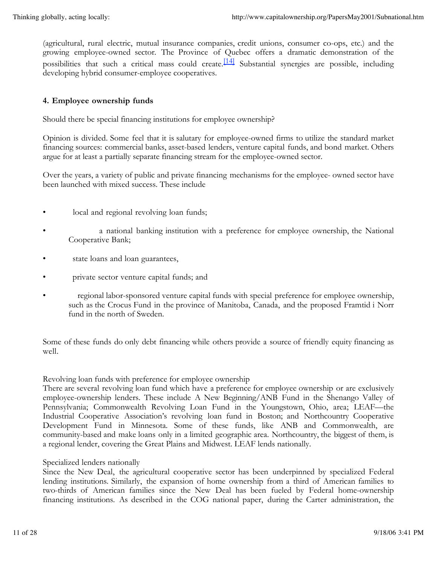(agricultural, rural electric, mutual insurance companies, credit unions, consumer co-ops, etc.) and the growing employee-owned sector. The Province of Quebec offers a dramatic demonstration of the possibilities that such a critical mass could create.<sup>[14]</sup> Substantial synergies are possible, including developing hybrid consumer-employee cooperatives.

# **4. Employee ownership funds**

Should there be special financing institutions for employee ownership?

Opinion is divided. Some feel that it is salutary for employee-owned firms to utilize the standard market financing sources: commercial banks, asset-based lenders, venture capital funds, and bond market. Others argue for at least a partially separate financing stream for the employee-owned sector.

Over the years, a variety of public and private financing mechanisms for the employee- owned sector have been launched with mixed success. These include

- local and regional revolving loan funds;
- a national banking institution with a preference for employee ownership, the National Cooperative Bank;
- state loans and loan guarantees,
- private sector venture capital funds; and
- regional labor-sponsored venture capital funds with special preference for employee ownership, such as the Crocus Fund in the province of Manitoba, Canada, and the proposed Framtid i Norr fund in the north of Sweden.

Some of these funds do only debt financing while others provide a source of friendly equity financing as well.

#### Revolving loan funds with preference for employee ownership

There are several revolving loan fund which have a preference for employee ownership or are exclusively employee-ownership lenders. These include A New Beginning/ANB Fund in the Shenango Valley of Pennsylvania; Commonwealth Revolving Loan Fund in the Youngstown, Ohio, area; LEAF—the Industrial Cooperative Association's revolving loan fund in Boston; and Northcountry Cooperative Development Fund in Minnesota. Some of these funds, like ANB and Commonwealth, are community-based and make loans only in a limited geographic area. Northcountry, the biggest of them, is a regional lender, covering the Great Plains and Midwest. LEAF lends nationally.

#### Specialized lenders nationally

Since the New Deal, the agricultural cooperative sector has been underpinned by specialized Federal lending institutions. Similarly, the expansion of home ownership from a third of American families to two-thirds of American families since the New Deal has been fueled by Federal home-ownership financing institutions. As described in the COG national paper, during the Carter administration, the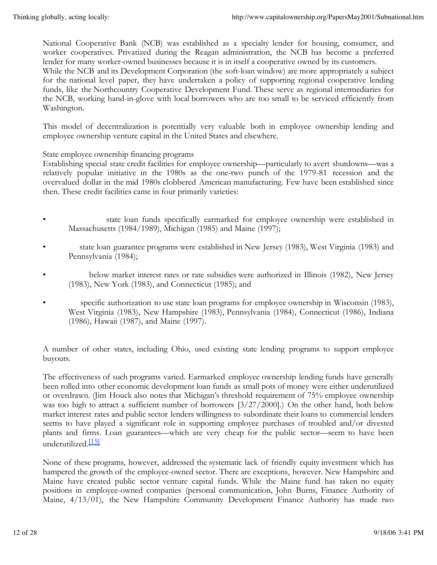National Cooperative Bank (NCB) was established as a specialty lender for housing, consumer, and worker cooperatives. Privatized during the Reagan administration, the NCB has become a preferred lender for many worker-owned businesses because it is in itself a cooperative owned by its customers. While the NCB and its Development Corporation (the soft-loan window) are more appropriately a subject for the national level paper, they have undertaken a policy of supporting regional cooperative lending funds, like the Northcountry Cooperative Development Fund. These serve as regional intermediaries for the NCB, working hand-in-glove with local borrowers who are too small to be serviced efficiently from Washington.

This model of decentralization is potentially very valuable both in employee ownership lending and employee ownership venture capital in the United States and elsewhere.

State employee ownership financing programs

Establishing special state credit facilities for employee ownership—particularly to avert shutdowns—was a relatively popular initiative in the 1980s as the one-two punch of the 1979-81 recession and the overvalued dollar in the mid 1980s clobbered American manufacturing. Few have been established since then. These credit facilities came in four primarily varieties:

- state loan funds specifically earmarked for employee ownership were established in Massachusetts (1984/1989), Michigan (1985) and Maine (1997);
- state loan guarantee programs were established in New Jersey (1983), West Virginia (1983) and Pennsylvania (1984);
- below market interest rates or rate subsidies were authorized in Illinois (1982), New Jersey (1983), New York (1983), and Connecticut (1985); and
- specific authorization to use state loan programs for employee ownership in Wisconsin (1983), West Virginia (1983), New Hampshire (1983), Pennsylvania (1984), Connecticut (1986), Indiana (1986), Hawaii (1987), and Maine (1997).

A number of other states, including Ohio, used existing state lending programs to support employee buyouts.

The effectiveness of such programs varied. Earmarked employee ownership lending funds have generally been rolled into other economic development loan funds as small pots of money were either underutilized or overdrawn. (Jim Houck also notes that Michigan's threshold requirement of 75% employee ownership was too high to attract a sufficient number of borrowers [3/27/2000].) On the other hand, both below market interest rates and public sector lenders willingness to subordinate their loans to commercial lenders seems to have played a significant role in supporting employee purchases of troubled and/or divested plants and firms. Loan guarantees—which are very cheap for the public sector—seem to have been underutilized.<sup>[15]</sup>

None of these programs, however, addressed the systematic lack of friendly equity investment which has hampered the growth of the employee-owned sector. There are exceptions, however. New Hampshire and Maine have created public sector venture capital funds. While the Maine fund has taken no equity positions in employee-owned companies (personal communication, John Burns, Finance Authority of Maine, 4/13/01), the New Hampshire Community Development Finance Authority has made two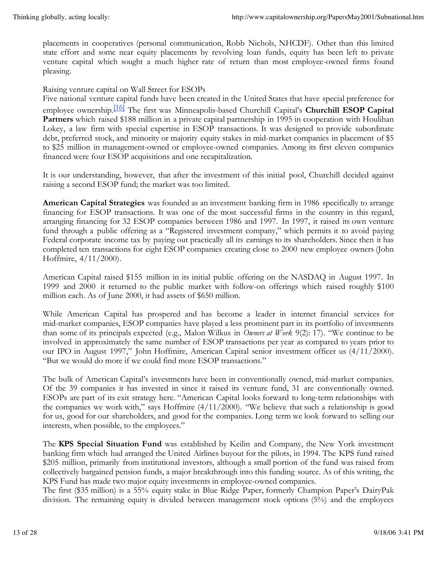placements in cooperatives (personal communication, Robb Nichols, NHCDF). Other than this limited state effort and some near equity placements by revolving loan funds, equity has been left to private venture capital which sought a much higher rate of return than most employee-owned firms found pleasing.

Raising venture capital on Wall Street for ESOPs

Five national venture capital funds have been created in the United States that have special preference for employee ownership.[16] The first was Minneapolis-based Churchill Capital's **Churchill ESOP Capital Partners** which raised \$188 million in a private capital partnership in 1995 in cooperation with Houlihan Lokey, a law firm with special expertise in ESOP transactions. It was designed to provide subordinate debt, preferred stock, and minority or majority equity stakes in mid-market companies in placement of \$5 to \$25 million in management-owned or employee-owned companies. Among its first eleven companies financed were four ESOP acquisitions and one recapitalization.

It is our understanding, however, that after the investment of this initial pool, Churchill decided against raising a second ESOP fund; the market was too limited.

**American Capital Strategies** was founded as an investment banking firm in 1986 specifically to arrange financing for ESOP transactions. It was one of the most successful firms in the country in this regard, arranging financing for 32 ESOP companies between 1986 and 1997. In 1997, it raised its own venture fund through a public offering as a "Registered investment company," which permits it to avoid paying Federal corporate income tax by paying out practically all its earnings to its shareholders. Since then it has completed ten transactions for eight ESOP companies creating close to 2000 new employee owners (John Hoffmire, 4/11/2000).

American Capital raised \$155 million in its initial public offering on the NASDAQ in August 1997. In 1999 and 2000 it returned to the public market with follow-on offerings which raised roughly \$100 million each. As of June 2000, it had assets of \$650 million.

While American Capital has prospered and has become a leader in internet financial services for mid-market companies, ESOP companies have played a less prominent part in its portfolio of investments than some of its principals expected (e.g., Malon Wilkus in *Owners at Work* 9(2): 17). "We continue to be involved in approximately the same number of ESOP transactions per year as compared to years prior to our IPO in August 1997," John Hoffmire, American Capital senior investment officer us (4/11/2000). "But we would do more if we could find more ESOP transactions."

The bulk of American Capital's investments have been in conventionally owned, mid-market companies. Of the 39 companies it has invested in since it raised its venture fund, 31 are conventionally owned. ESOPs are part of its exit strategy here. "American Capital looks forward to long-term relationships with the companies we work with," says Hoffmire  $(4/11/2000)$ . "We believe that such a relationship is good for us, good for our shareholders, and good for the companies. Long term we look forward to selling our interests, when possible, to the employees."

The **KPS Special Situation Fund** was established by Keilin and Company, the New York investment banking firm which had arranged the United Airlines buyout for the pilots, in 1994. The KPS fund raised \$205 million, primarily from institutional investors, although a small portion of the fund was raised from collectively bargained pension funds, a major breakthrough into this funding source. As of this writing, the KPS Fund has made two major equity investments in employee-owned companies.

The first (\$35 million) is a 55% equity stake in Blue Ridge Paper, formerly Champion Paper's DairyPak division. The remaining equity is divided between management stock options (5%) and the employees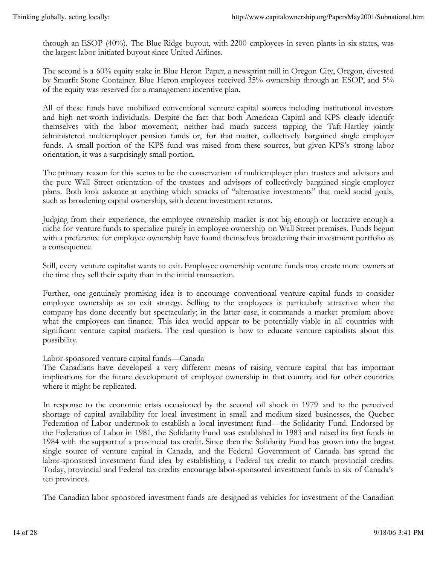through an ESOP (40%). The Blue Ridge buyout, with 2200 employees in seven plants in six states, was the largest labor-initiated buyout since United Airlines.

The second is a 60% equity stake in Blue Heron Paper, a newsprint mill in Oregon City, Oregon, divested by Smurfit Stone Container. Blue Heron employees received 35% ownership through an ESOP, and 5% of the equity was reserved for a management incentive plan.

All of these funds have mobilized conventional venture capital sources including institutional investors and high net-worth individuals. Despite the fact that both American Capital and KPS clearly identify themselves with the labor movement, neither had much success tapping the Taft-Hartley jointly administered multiemployer pension funds or, for that matter, collectively bargained single employer funds. A small portion of the KPS fund was raised from these sources, but given KPS's strong labor orientation, it was a surprisingly small portion.

The primary reason for this seems to be the conservatism of multiemployer plan trustees and advisors and the pure Wall Street orientation of the trustees and advisors of collectively bargained single-employer plans. Both look askance at anything which smacks of "alternative investments" that meld social goals, such as broadening capital ownership, with decent investment returns.

Judging from their experience, the employee ownership market is not big enough or lucrative enough a niche for venture funds to specialize purely in employee ownership on Wall Street premises. Funds begun with a preference for employee ownership have found themselves broadening their investment portfolio as a consequence.

Still, every venture capitalist wants to exit. Employee ownership venture funds may create more owners at the time they sell their equity than in the initial transaction.

Further, one genuinely promising idea is to encourage conventional venture capital funds to consider employee ownership as an exit strategy. Selling to the employees is particularly attractive when the company has done decently but spectacularly; in the latter case, it commands a market premium above what the employees can finance. This idea would appear to be potentially viable in all countries with significant venture capital markets. The real question is how to educate venture capitalists about this possibility.

# Labor-sponsored venture capital funds—Canada

The Canadians have developed a very different means of raising venture capital that has important implications for the future development of employee ownership in that country and for other countries where it might be replicated.

In response to the economic crisis occasioned by the second oil shock in 1979 and to the perceived shortage of capital availability for local investment in small and medium-sized businesses, the Quebec Federation of Labor undertook to establish a local investment fund—the Solidarity Fund. Endorsed by the Federation of Labor in 1981, the Solidarity Fund was established in 1983 and raised its first funds in 1984 with the support of a provincial tax credit. Since then the Solidarity Fund has grown into the largest single source of venture capital in Canada, and the Federal Government of Canada has spread the labor-sponsored investment fund idea by establishing a Federal tax credit to match provincial credits. Today, provincial and Federal tax credits encourage labor-sponsored investment funds in six of Canada's ten provinces.

The Canadian labor-sponsored investment funds are designed as vehicles for investment of the Canadian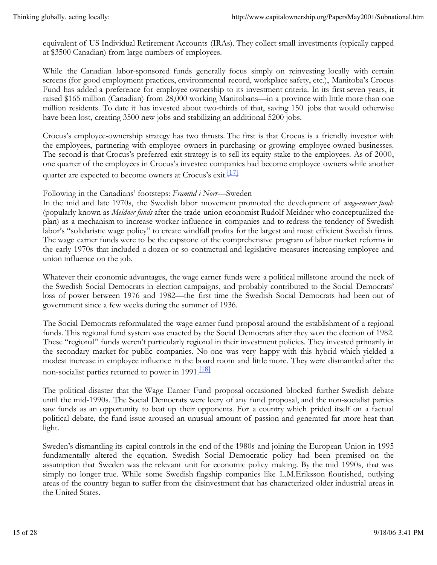equivalent of US Individual Retirement Accounts (IRAs). They collect small investments (typically capped at \$3500 Canadian) from large numbers of employees.

While the Canadian labor-sponsored funds generally focus simply on reinvesting locally with certain screens (for good employment practices, environmental record, workplace safety, etc.), Manitoba's Crocus Fund has added a preference for employee ownership to its investment criteria. In its first seven years, it raised \$165 million (Canadian) from 28,000 working Manitobans—in a province with little more than one million residents. To date it has invested about two-thirds of that, saving 150 jobs that would otherwise have been lost, creating 3500 new jobs and stabilizing an additional 5200 jobs.

Crocus's employee-ownership strategy has two thrusts. The first is that Crocus is a friendly investor with the employees, partnering with employee owners in purchasing or growing employee-owned businesses. The second is that Crocus's preferred exit strategy is to sell its equity stake to the employees. As of 2000, one quarter of the employees in Crocus's investee companies had become employee owners while another quarter are expected to become owners at Crocus's exit.<sup>[17]</sup>

# Following in the Canadians' footsteps: *Framtid i Norr*—Sweden

In the mid and late 1970s, the Swedish labor movement promoted the development of *wage-earner funds* (popularly known as *Meidner funds* after the trade union economist Rudolf Meidner who conceptualized the plan) as a mechanism to increase worker influence in companies and to redress the tendency of Swedish labor's "solidaristic wage policy" to create windfall profits for the largest and most efficient Swedish firms. The wage earner funds were to be the capstone of the comprehensive program of labor market reforms in the early 1970s that included a dozen or so contractual and legislative measures increasing employee and union influence on the job.

Whatever their economic advantages, the wage earner funds were a political millstone around the neck of the Swedish Social Democrats in election campaigns, and probably contributed to the Social Democrats' loss of power between 1976 and 1982—the first time the Swedish Social Democrats had been out of government since a few weeks during the summer of 1936.

The Social Democrats reformulated the wage earner fund proposal around the establishment of a regional funds. This regional fund system was enacted by the Social Democrats after they won the election of 1982. These "regional" funds weren't particularly regional in their investment policies. They invested primarily in the secondary market for public companies. No one was very happy with this hybrid which yielded a modest increase in employee influence in the board room and little more. They were dismantled after the non-socialist parties returned to power in 1991.<sup>[18]</sup>

The political disaster that the Wage Earner Fund proposal occasioned blocked further Swedish debate until the mid-1990s. The Social Democrats were leery of any fund proposal, and the non-socialist parties saw funds as an opportunity to beat up their opponents. For a country which prided itself on a factual political debate, the fund issue aroused an unusual amount of passion and generated far more heat than light.

Sweden's dismantling its capital controls in the end of the 1980s and joining the European Union in 1995 fundamentally altered the equation. Swedish Social Democratic policy had been premised on the assumption that Sweden was the relevant unit for economic policy making. By the mid 1990s, that was simply no longer true. While some Swedish flagship companies like L.M.Eriksson flourished, outlying areas of the country began to suffer from the disinvestment that has characterized older industrial areas in the United States.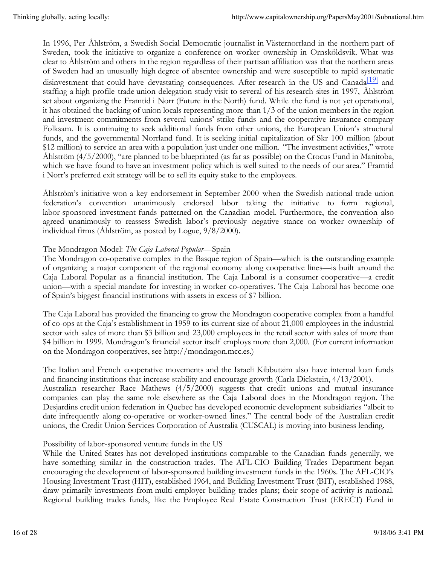In 1996, Per Åhlström, a Swedish Social Democratic journalist in Västernorrland in the northern part of Sweden, took the initiative to organize a conference on worker ownership in Ornsköldsvik. What was clear to Åhlström and others in the region regardless of their partisan affiliation was that the northern areas of Sweden had an unusually high degree of absentee ownership and were susceptible to rapid systematic disinvestment that could have devastating consequences. After research in the US and Canada<sup>[19]</sup> and staffing a high profile trade union delegation study visit to several of his research sites in 1997, Åhlström set about organizing the Framtid i Norr (Future in the North) fund. While the fund is not yet operational, it has obtained the backing of union locals representing more than 1/3 of the union members in the region and investment commitments from several unions' strike funds and the cooperative insurance company Folksam. It is continuing to seek additional funds from other unions, the European Union's structural funds, and the governmental Norrland fund. It is seeking initial capitalization of Skr 100 million (about \$12 million) to service an area with a population just under one million. "The investment activities," wrote Åhlström (4/5/2000), "are planned to be blueprinted (as far as possible) on the Crocus Fund in Manitoba, which we have found to have an investment policy which is well suited to the needs of our area." Framtid i Norr's preferred exit strategy will be to sell its equity stake to the employees.

Åhlström's initiative won a key endorsement in September 2000 when the Swedish national trade union federation's convention unanimously endorsed labor taking the initiative to form regional, labor-sponsored investment funds patterned on the Canadian model. Furthermore, the convention also agreed unanimously to reassess Swedish labor's previously negative stance on worker ownership of individual firms (Åhlström, as posted by Logue, 9/8/2000).

# The Mondragon Model: *The Caja Laboral Popular—*Spain

The Mondragon co-operative complex in the Basque region of Spain—which is **the** outstanding example of organizing a major component of the regional economy along cooperative lines—is built around the Caja Laboral Popular as a financial institution. The Caja Laboral is a consumer cooperative—a credit union—with a special mandate for investing in worker co-operatives. The Caja Laboral has become one of Spain's biggest financial institutions with assets in excess of \$7 billion.

The Caja Laboral has provided the financing to grow the Mondragon cooperative complex from a handful of co-ops at the Caja's establishment in 1959 to its current size of about 21,000 employees in the industrial sector with sales of more than \$3 billion and 23,000 employees in the retail sector with sales of more than \$4 billion in 1999. Mondragon's financial sector itself employs more than 2,000. (For current information on the Mondragon cooperatives, see http://mondragon.mcc.es.)

The Italian and French cooperative movements and the Israeli Kibbutzim also have internal loan funds and financing institutions that increase stability and encourage growth (Carla Dickstein, 4/13/2001). Australian researcher Race Mathews (4/5/2000) suggests that credit unions and mutual insurance companies can play the same role elsewhere as the Caja Laboral does in the Mondragon region. The Desjardins credit union federation in Quebec has developed economic development subsidiaries "albeit to date infrequently along co-operative or worker-owned lines." The central body of the Australian credit unions, the Credit Union Services Corporation of Australia (CUSCAL) is moving into business lending.

# Possibility of labor-sponsored venture funds in the US

While the United States has not developed institutions comparable to the Canadian funds generally, we have something similar in the construction trades. The AFL-CIO Building Trades Department began encouraging the development of labor-sponsored building investment funds in the 1960s. The AFL-CIO's Housing Investment Trust (HIT), established 1964, and Building Investment Trust (BIT), established 1988, draw primarily investments from multi-employer building trades plans; their scope of activity is national. Regional building trades funds, like the Employee Real Estate Construction Trust (ERECT) Fund in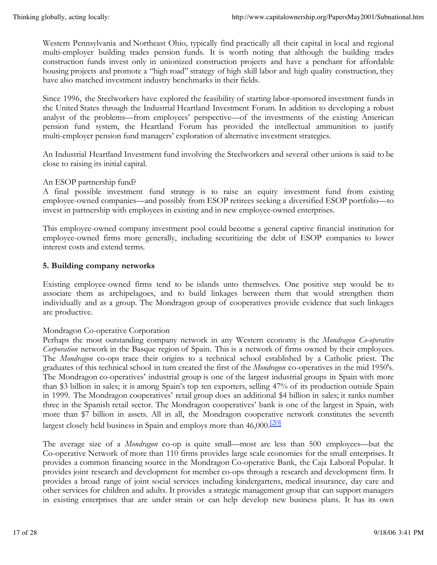Western Pennsylvania and Northeast Ohio, typically find practically all their capital in local and regional multi-employer building trades pension funds. It is worth noting that although the building trades construction funds invest only in unionized construction projects and have a penchant for affordable housing projects and promote a "high road" strategy of high skill labor and high quality construction, they have also matched investment industry benchmarks in their fields.

Since 1996, the Steelworkers have explored the feasibility of starting labor-sponsored investment funds in the United States through the Industrial Heartland Investment Forum. In addition to developing a robust analyst of the problems—from employees' perspective—of the investments of the existing American pension fund system, the Heartland Forum has provided the intellectual ammunition to justify multi-employer pension fund managers' exploration of alternative investment strategies.

An Industrial Heartland Investment fund involving the Steelworkers and several other unions is said to be close to raising its initial capital.

# An ESOP partnership fund?

A final possible investment fund strategy is to raise an equity investment fund from existing employee-owned companies—and possibly from ESOP retirees seeking a diversified ESOP portfolio—to invest in partnership with employees in existing and in new employee-owned enterprises.

This employee-owned company investment pool could become a general captive financial institution for employee-owned firms more generally, including securitizing the debt of ESOP companies to lower interest costs and extend terms.

#### **5. Building company networks**

Existing employee-owned firms tend to be islands unto themselves. One positive step would be to associate them as archipelagoes, and to build linkages between them that would strengthen them individually and as a group. The Mondragon group of cooperatives provide evidence that such linkages are productive.

# Mondragon Co-operative Corporation

Perhaps the most outstanding company network in any Western economy is the *Mondragon Co-operative Corporation* network in the Basque region of Spain. This is a network of firms owned by their employees. The *Mondragon* co-ops trace their origins to a technical school established by a Catholic priest. The graduates of this technical school in turn created the first of the *Mondragon* co-operatives in the mid 1950's. The Mondragon co-operatives' industrial group is one of the largest industrial groups in Spain with more than \$3 billion in sales; it is among Spain's top ten exporters, selling 47% of its production outside Spain in 1999. The Mondragon cooperatives' retail group does an additional \$4 billion in sales; it ranks number three in the Spanish retail sector. The Mondragon cooperatives' bank is one of the largest in Spain, with more than \$7 billion in assets. All in all, the Mondragon cooperative network constitutes the seventh largest closely held business in Spain and employs more than 46,000.<sup>[20]</sup>

The average size of a *Mondragon* co-op is quite small—most are less than 500 employees—but the Co-operative Network of more than 110 firms provides large scale economies for the small enterprises. It provides a common financing source in the Mondragon Co-operative Bank, the Caja Laboral Popular. It provides joint research and development for member co-ops through a research and development firm. It provides a broad range of joint social services including kindergartens, medical insurance, day care and other services for children and adults. It provides a strategic management group that can support managers in existing enterprises that are under strain or can help develop new business plans. It has its own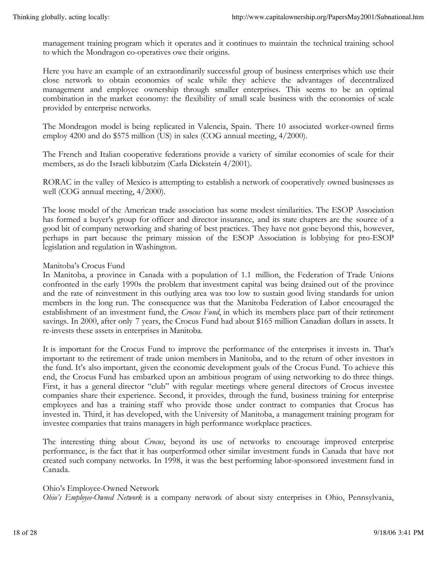management training program which it operates and it continues to maintain the technical training school to which the Mondragon co-operatives owe their origins.

Here you have an example of an extraordinarily successful group of business enterprises which use their close network to obtain economies of scale while they achieve the advantages of decentralized management and employee ownership through smaller enterprises. This seems to be an optimal combination in the market economy: the flexibility of small scale business with the economies of scale provided by enterprise networks.

The Mondragon model is being replicated in Valencia, Spain. There 10 associated worker-owned firms employ 4200 and do \$575 million (US) in sales (COG annual meeting, 4/2000).

The French and Italian cooperative federations provide a variety of similar economies of scale for their members, as do the Israeli kibbutzim (Carla Dickstein 4/2001).

RORAC in the valley of Mexico is attempting to establish a network of cooperatively owned businesses as well (COG annual meeting, 4/2000).

The loose model of the American trade association has some modest similarities. The ESOP Association has formed a buyer's group for officer and director insurance, and its state chapters are the source of a good bit of company networking and sharing of best practices. They have not gone beyond this, however, perhaps in part because the primary mission of the ESOP Association is lobbying for pro-ESOP legislation and regulation in Washington.

#### Manitoba's Crocus Fund

In Manitoba, a province in Canada with a population of 1.1 million, the Federation of Trade Unions confronted in the early 1990s the problem that investment capital was being drained out of the province and the rate of reinvestment in this outlying area was too low to sustain good living standards for union members in the long run. The consequence was that the Manitoba Federation of Labor encouraged the establishment of an investment fund, the *Crocus Fund*, in which its members place part of their retirement savings. In 2000, after only 7 years, the Crocus Fund had about \$165 million Canadian dollars in assets. It re-invests these assets in enterprises in Manitoba.

It is important for the Crocus Fund to improve the performance of the enterprises it invests in. That's important to the retirement of trade union members in Manitoba, and to the return of other investors in the fund. It's also important, given the economic development goals of the Crocus Fund. To achieve this end, the Crocus Fund has embarked upon an ambitious program of using networking to do three things. First, it has a general director "club" with regular meetings where general directors of Crocus investee companies share their experience. Second, it provides, through the fund, business training for enterprise employees and has a training staff who provide those under contract to companies that Crocus has invested in. Third, it has developed, with the University of Manitoba, a management training program for investee companies that trains managers in high performance workplace practices.

The interesting thing about *Crocus*, beyond its use of networks to encourage improved enterprise performance, is the fact that it has outperformed other similar investment funds in Canada that have not created such company networks. In 1998, it was the best performing labor-sponsored investment fund in Canada.

#### Ohio's Employee-Owned Network

*Ohio's Employee-Owned Network* is a company network of about sixty enterprises in Ohio, Pennsylvania,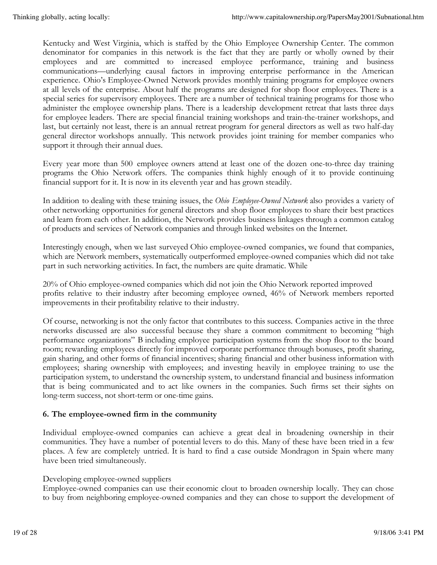Kentucky and West Virginia, which is staffed by the Ohio Employee Ownership Center. The common denominator for companies in this network is the fact that they are partly or wholly owned by their employees and are committed to increased employee performance, training and business communications—underlying causal factors in improving enterprise performance in the American experience. Ohio's Employee-Owned Network provides monthly training programs for employee owners at all levels of the enterprise. About half the programs are designed for shop floor employees. There is a special series for supervisory employees. There are a number of technical training programs for those who administer the employee ownership plans. There is a leadership development retreat that lasts three days for employee leaders. There are special financial training workshops and train-the-trainer workshops, and last, but certainly not least, there is an annual retreat program for general directors as well as two half-day general director workshops annually. This network provides joint training for member companies who support it through their annual dues.

Every year more than 500 employee owners attend at least one of the dozen one-to-three day training programs the Ohio Network offers. The companies think highly enough of it to provide continuing financial support for it. It is now in its eleventh year and has grown steadily.

In addition to dealing with these training issues, the *Ohio Employee-Owned Network* also provides a variety of other networking opportunities for general directors and shop floor employees to share their best practices and learn from each other. In addition, the Network provides business linkages through a common catalog of products and services of Network companies and through linked websites on the Internet.

Interestingly enough, when we last surveyed Ohio employee-owned companies, we found that companies, which are Network members, systematically outperformed employee-owned companies which did not take part in such networking activities. In fact, the numbers are quite dramatic. While

20% of Ohio employee-owned companies which did not join the Ohio Network reported improved profits relative to their industry after becoming employee owned, 46% of Network members reported improvements in their profitability relative to their industry.

Of course, networking is not the only factor that contributes to this success. Companies active in the three networks discussed are also successful because they share a common commitment to becoming "high performance organizations" B including employee participation systems from the shop floor to the board room; rewarding employees directly for improved corporate performance through bonuses, profit sharing, gain sharing, and other forms of financial incentives; sharing financial and other business information with employees; sharing ownership with employees; and investing heavily in employee training to use the participation system, to understand the ownership system, to understand financial and business information that is being communicated and to act like owners in the companies. Such firms set their sights on long-term success, not short-term or one-time gains.

# **6. The employee-owned firm in the community**

Individual employee-owned companies can achieve a great deal in broadening ownership in their communities. They have a number of potential levers to do this. Many of these have been tried in a few places. A few are completely untried. It is hard to find a case outside Mondragon in Spain where many have been tried simultaneously.

# Developing employee-owned suppliers

Employee-owned companies can use their economic clout to broaden ownership locally. They can chose to buy from neighboring employee-owned companies and they can chose to support the development of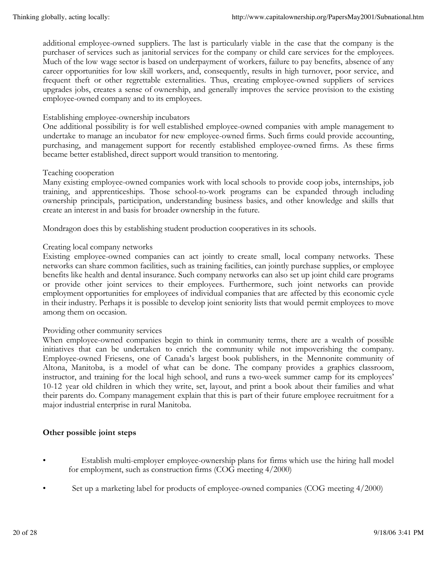additional employee-owned suppliers. The last is particularly viable in the case that the company is the purchaser of services such as janitorial services for the company or child care services for the employees. Much of the low wage sector is based on underpayment of workers, failure to pay benefits, absence of any career opportunities for low skill workers, and, consequently, results in high turnover, poor service, and frequent theft or other regrettable externalities. Thus, creating employee-owned suppliers of services upgrades jobs, creates a sense of ownership, and generally improves the service provision to the existing employee-owned company and to its employees.

#### Establishing employee-ownership incubators

One additional possibility is for well established employee-owned companies with ample management to undertake to manage an incubator for new employee-owned firms. Such firms could provide accounting, purchasing, and management support for recently established employee-owned firms. As these firms became better established, direct support would transition to mentoring.

#### Teaching cooperation

Many existing employee-owned companies work with local schools to provide coop jobs, internships, job training, and apprenticeships. Those school-to-work programs can be expanded through including ownership principals, participation, understanding business basics, and other knowledge and skills that create an interest in and basis for broader ownership in the future.

Mondragon does this by establishing student production cooperatives in its schools.

#### Creating local company networks

Existing employee-owned companies can act jointly to create small, local company networks. These networks can share common facilities, such as training facilities, can jointly purchase supplies, or employee benefits like health and dental insurance. Such company networks can also set up joint child care programs or provide other joint services to their employees. Furthermore, such joint networks can provide employment opportunities for employees of individual companies that are affected by this economic cycle in their industry. Perhaps it is possible to develop joint seniority lists that would permit employees to move among them on occasion.

#### Providing other community services

When employee-owned companies begin to think in community terms, there are a wealth of possible initiatives that can be undertaken to enrich the community while not impoverishing the company. Employee-owned Friesens, one of Canada's largest book publishers, in the Mennonite community of Altona, Manitoba, is a model of what can be done. The company provides a graphics classroom, instructor, and training for the local high school, and runs a two-week summer camp for its employees' 10-12 year old children in which they write, set, layout, and print a book about their families and what their parents do. Company management explain that this is part of their future employee recruitment for a major industrial enterprise in rural Manitoba.

# **Other possible joint steps**

- Establish multi-employer employee-ownership plans for firms which use the hiring hall model for employment, such as construction firms (COG meeting 4/2000)
- Set up a marketing label for products of employee-owned companies (COG meeting 4/2000)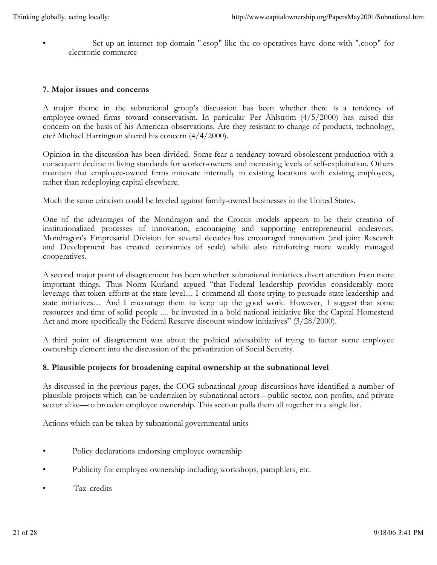• Set up an internet top domain ".esop" like the co-operatives have done with ".coop" for electronic commerce

#### **7. Major issues and concerns**

A major theme in the subnational group's discussion has been whether there is a tendency of employee-owned firms toward conservatism. In particular Per Åhlström (4/5/2000) has raised this concern on the basis of his American observations. Are they resistant to change of products, technology, etc? Michael Harrington shared his concern (4/4/2000).

Opinion in the discussion has been divided. Some fear a tendency toward obsolescent production with a consequent decline in living standards for worker-owners and increasing levels of self-exploitation. Others maintain that employee-owned firms innovate internally in existing locations with existing employees, rather than redeploying capital elsewhere.

Much the same criticism could be leveled against family-owned businesses in the United States.

One of the advantages of the Mondragon and the Crocus models appears to be their creation of institutionalized processes of innovation, encouraging and supporting entrepreneurial endeavors. Mondragon's Empresarial Division for several decades has encouraged innovation (and joint Research and Development has created economies of scale) while also reinforcing more weakly managed cooperatives.

A second major point of disagreement has been whether subnational initiatives divert attention from more important things. Thus Norm Kurland argued "that Federal leadership provides considerably more leverage that token efforts at the state level.... I commend all those trying to persuade state leadership and state initiatives.... And I encourage them to keep up the good work. However, I suggest that some resources and time of solid people .... be invested in a bold national initiative like the Capital Homestead Act and more specifically the Federal Reserve discount window initiatives" (3/28/2000).

A third point of disagreement was about the political advisability of trying to factor some employee ownership element into the discussion of the privatization of Social Security.

# **8. Plausible projects for broadening capital ownership at the subnational level**

As discussed in the previous pages, the COG subnational group discussions have identified a number of plausible projects which can be undertaken by subnational actors—public sector, non-profits, and private sector alike—to broaden employee ownership. This section pulls them all together in a single list.

Actions which can be taken by subnational governmental units

- Policy declarations endorsing employee ownership
- Publicity for employee ownership including workshops, pamphlets, etc.
- Tax credits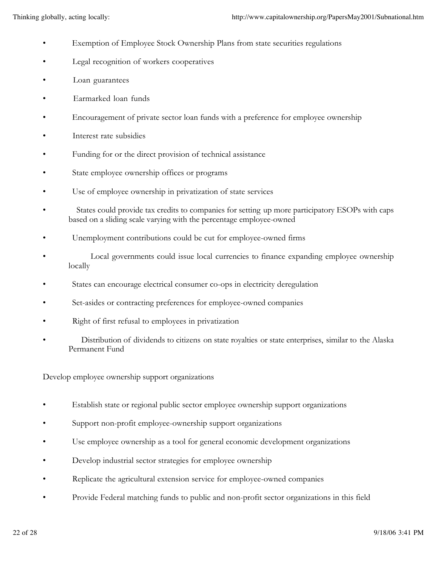- Exemption of Employee Stock Ownership Plans from state securities regulations
- Legal recognition of workers cooperatives
- Loan guarantees
- Earmarked loan funds
- Encouragement of private sector loan funds with a preference for employee ownership
- Interest rate subsidies
- Funding for or the direct provision of technical assistance
- State employee ownership offices or programs
- Use of employee ownership in privatization of state services
- States could provide tax credits to companies for setting up more participatory ESOPs with caps based on a sliding scale varying with the percentage employee-owned
- Unemployment contributions could be cut for employee-owned firms
- Local governments could issue local currencies to finance expanding employee ownership locally
- States can encourage electrical consumer co-ops in electricity deregulation
- Set-asides or contracting preferences for employee-owned companies
- Right of first refusal to employees in privatization
- Distribution of dividends to citizens on state royalties or state enterprises, similar to the Alaska Permanent Fund

Develop employee ownership support organizations

- Establish state or regional public sector employee ownership support organizations
- Support non-profit employee-ownership support organizations
- Use employee ownership as a tool for general economic development organizations
- Develop industrial sector strategies for employee ownership
- Replicate the agricultural extension service for employee-owned companies
- Provide Federal matching funds to public and non-profit sector organizations in this field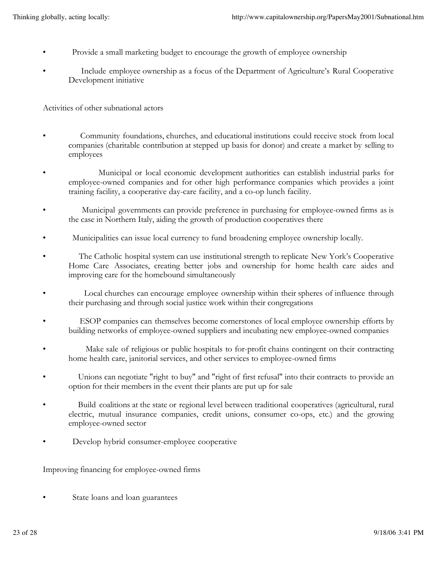- Provide a small marketing budget to encourage the growth of employee ownership
- Include employee ownership as a focus of the Department of Agriculture's Rural Cooperative Development initiative

Activities of other subnational actors

- Community foundations, churches, and educational institutions could receive stock from local companies (charitable contribution at stepped up basis for donor) and create a market by selling to employees
- Municipal or local economic development authorities can establish industrial parks for employee-owned companies and for other high performance companies which provides a joint training facility, a cooperative day-care facility, and a co-op lunch facility.
- Municipal governments can provide preference in purchasing for employee-owned firms as is the case in Northern Italy, aiding the growth of production cooperatives there
- Municipalities can issue local currency to fund broadening employee ownership locally.
- The Catholic hospital system can use institutional strength to replicate New York's Cooperative Home Care Associates, creating better jobs and ownership for home health care aides and improving care for the homebound simultaneously
- Local churches can encourage employee ownership within their spheres of influence through their purchasing and through social justice work within their congregations
- ESOP companies can themselves become cornerstones of local employee ownership efforts by building networks of employee-owned suppliers and incubating new employee-owned companies
- Make sale of religious or public hospitals to for-profit chains contingent on their contracting home health care, janitorial services, and other services to employee-owned firms
- Unions can negotiate "right to buy" and "right of first refusal" into their contracts to provide an option for their members in the event their plants are put up for sale
- Build coalitions at the state or regional level between traditional cooperatives (agricultural, rural electric, mutual insurance companies, credit unions, consumer co-ops, etc.) and the growing employee-owned sector
- Develop hybrid consumer-employee cooperative

Improving financing for employee-owned firms

State loans and loan guarantees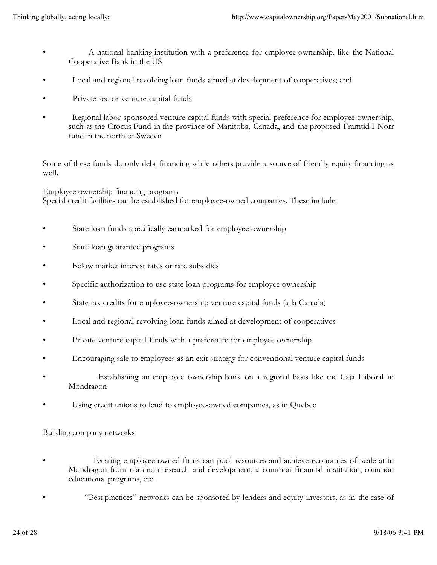- A national banking institution with a preference for employee ownership, like the National Cooperative Bank in the US
- Local and regional revolving loan funds aimed at development of cooperatives; and
- Private sector venture capital funds
- Regional labor-sponsored venture capital funds with special preference for employee ownership, such as the Crocus Fund in the province of Manitoba, Canada, and the proposed Framtid I Norr fund in the north of Sweden

Some of these funds do only debt financing while others provide a source of friendly equity financing as well.

Employee ownership financing programs Special credit facilities can be established for employee-owned companies. These include

- State loan funds specifically earmarked for employee ownership
- State loan guarantee programs
- Below market interest rates or rate subsidies
- Specific authorization to use state loan programs for employee ownership
- State tax credits for employee-ownership venture capital funds (a la Canada)
- Local and regional revolving loan funds aimed at development of cooperatives
- Private venture capital funds with a preference for employee ownership
- Encouraging sale to employees as an exit strategy for conventional venture capital funds
- Establishing an employee ownership bank on a regional basis like the Caja Laboral in Mondragon
- Using credit unions to lend to employee-owned companies, as in Quebec

Building company networks

- Existing employee-owned firms can pool resources and achieve economies of scale at in Mondragon from common research and development, a common financial institution, common educational programs, etc.
	- "Best practices" networks can be sponsored by lenders and equity investors, as in the case of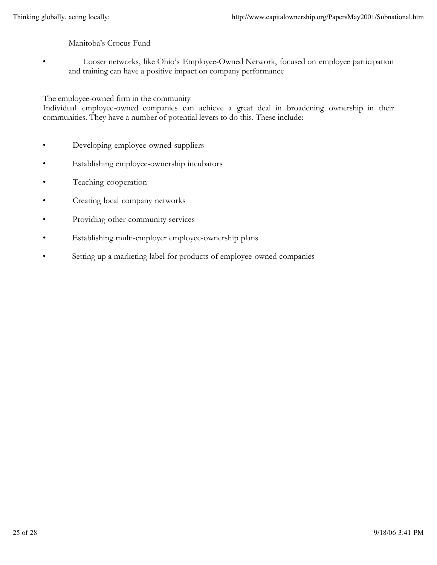# Manitoba's Crocus Fund

• Looser networks, like Ohio's Employee-Owned Network, focused on employee participation and training can have a positive impact on company performance

#### The employee-owned firm in the community

Individual employee-owned companies can achieve a great deal in broadening ownership in their communities. They have a number of potential levers to do this. These include:

- Developing employee-owned suppliers
- Establishing employee-ownership incubators
- Teaching cooperation
- Creating local company networks
- Providing other community services
- Establishing multi-employer employee-ownership plans
- Setting up a marketing label for products of employee-owned companies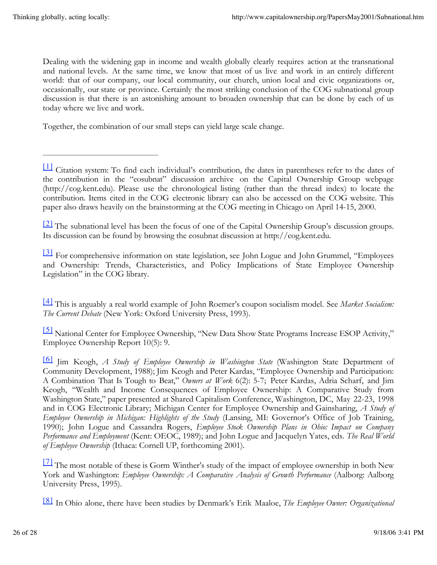Dealing with the widening gap in income and wealth globally clearly requires action at the transnational and national levels. At the same time, we know that most of us live and work in an entirely different world: that of our company, our local community, our church, union local and civic organizations or, occasionally, our state or province. Certainly the most striking conclusion of the COG subnational group discussion is that there is an astonishing amount to broaden ownership that can be done by each of us today where we live and work.

Together, the combination of our small steps can yield large scale change.

<sup>[2]</sup> The subnational level has been the focus of one of the Capital Ownership Group's discussion groups. Its discussion can be found by browsing the eosubnat discussion at http://cog.kent.edu.

<sup>[3]</sup> For comprehensive information on state legislation, see John Logue and John Grummel, "Employees and Ownership: Trends, Characteristics, and Policy Implications of State Employee Ownership Legislation" in the COG library.

[4] This is arguably a real world example of John Roemer's coupon socialism model. See *Market Socialism: The Current Debate* (New York: Oxford University Press, 1993).

[5] National Center for Employee Ownership, "New Data Show State Programs Increase ESOP Activity," Employee Ownership Report 10(5): 9.

[7] The most notable of these is Gorm Winther's study of the impact of employee ownership in both New York and Washington: *Employee Ownership: A Comparative Analysis of Growth Performance* (Aalborg: Aalborg University Press, 1995).

[8] In Ohio alone, there have been studies by Denmark's Erik Maaloe, *The Employee Owner: Organizational*

<sup>[1]</sup> Citation system: To find each individual's contribution, the dates in parentheses refer to the dates of the contribution in the "eosubnat" discussion archive on the Capital Ownership Group webpage (http://cog.kent.edu). Please use the chronological listing (rather than the thread index) to locate the contribution. Items cited in the COG electronic library can also be accessed on the COG website. This paper also draws heavily on the brainstorming at the COG meeting in Chicago on April 14-15, 2000.

<sup>[6]</sup> Jim Keogh, *A Study of Employee Ownership in Washington State* (Washington State Department of Community Development, 1988); Jim Keogh and Peter Kardas, "Employee Ownership and Participation: A Combination That Is Tough to Beat," *Owners at Work* 6(2): 5-7; Peter Kardas, Adria Scharf, and Jim Keogh, "Wealth and Income Consequences of Employee Ownership: A Comparative Study from Washington State," paper presented at Shared Capitalism Conference, Washington, DC, May 22-23, 1998 and in COG Electronic Library; Michigan Center for Employee Ownership and Gainsharing, *A Study of Employee Ownership in Michigan: Highlights of the Study* (Lansing, MI: Governor's Office of Job Training, 1990); John Logue and Cassandra Rogers, *Employee Stock Ownership Plans in Ohio: Impact on Company Performance and Employment* (Kent: OEOC, 1989); and John Logue and Jacquelyn Yates, eds. *The Real World of Employee Ownership* (Ithaca: Cornell UP, forthcoming 2001).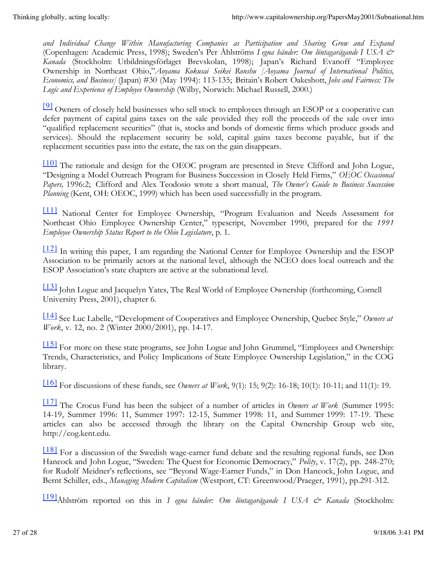*and Individual Change Within Manufacturing Companies as Participation and Sharing Grow and Expand* (Copenhagen: Academic Press, 1998); Sweden's Per Åhlströms *I egna händer: Om löntagarägande I USA & Kanada* (Stockholm: Utbildningsförlaget Brevskolan, 1998); Japan's Richard Evanoff "Employee Ownership in Northeast Ohio,"*Aoyama Kokusai Seikei Ronshu [Aoyama Journal of International Politics, Economics, and Business]* (Japan) #30 (May 1994): 113-135; Britain's Robert Oakeshott, *Jobs and Fairness: The Logic and Experience of Employee Ownership* (Wilby, Norwich: Michael Russell, 2000.)

[9] Owners of closely held businesses who sell stock to employees through an ESOP or a cooperative can defer payment of capital gains taxes on the sale provided they roll the proceeds of the sale over into "qualified replacement securities" (that is, stocks and bonds of domestic firms which produce goods and services). Should the replacement security be sold, capital gains taxes become payable, but if the replacement securities pass into the estate, the tax on the gain disappears.

[10] The rationale and design for the OEOC program are presented in Steve Clifford and John Logue, "Designing a Model Outreach Program for Business Succession in Closely Held Firms," *OEOC Occasional Papers,* 1996:2; Clifford and Alex Teodosio wrote a short manual, *The Owner's Guide to Business Succession Planning* (Kent, OH: OEOC, 1999) which has been used successfully in the program.

[11] National Center for Employee Ownership, "Program Evaluation and Needs Assessment for Northeast Ohio Employee Ownership Center," typescript, November 1990, prepared for the *1991 Employee Ownership Status Report to the Ohio Legislature*, p. 1.

[12] In writing this paper, I am regarding the National Center for Employee Ownership and the ESOP Association to be primarily actors at the national level, although the NCEO does local outreach and the ESOP Association's state chapters are active at the subnational level.

[13] John Logue and Jacquelyn Yates, The Real World of Employee Ownership (forthcoming, Cornell University Press, 2001), chapter 6.

[14] See Luc Labelle, "Development of Cooperatives and Employee Ownership, Quebec Style," *Owners at Work*, v. 12, no. 2 (Winter 2000/2001), pp. 14-17.

[15] For more on these state programs, see John Logue and John Grummel, "Employees and Ownership: Trends, Characteristics, and Policy Implications of State Employee Ownership Legislation," in the COG library.

[16] For discussions of these funds, see *Owners at Work*, 9(1): 15; 9(2): 16-18; 10(1): 10-11; and 11(1): 19.

[17] The Crocus Fund has been the subject of a number of articles in *Owners at Work* (Summer 1995: 14-19, Summer 1996: 11, Summer 1997: 12-15, Summer 1998: 11, and Summer 1999: 17-19. These articles can also be accessed through the library on the Capital Ownership Group web site, http://cog.kent.edu.

[18] For a discussion of the Swedish wage-earner fund debate and the resulting regional funds, see Don Hancock and John Logue, "Sweden: The Quest for Economic Democracy," *Polity*, v. 17(2), pp. 248-270; for Rudolf Meidner's reflections, see "Beyond Wage-Earner Funds," in Don Hancock, John Logue, and Bernt Schiller, eds., *Managing Modern Capitalism* (Westport, CT: Greenwood/Praeger, 1991), pp.291-312.

[19]Åhlström reported on this in *I egna händer: Om löntagarägande I USA & Kanada* (Stockholm: